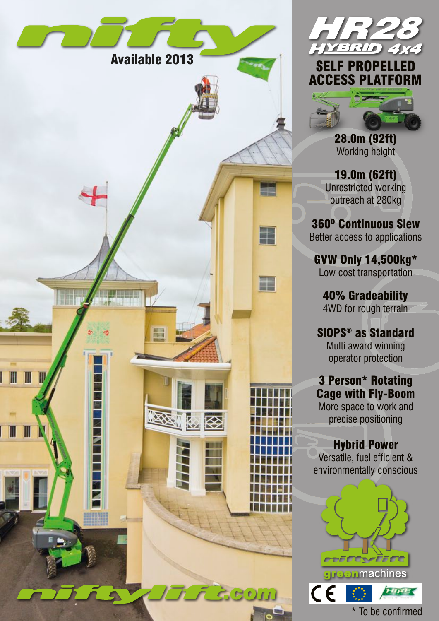



28.0m (92ft) Working height

19.0m (62ft) Unrestricted working outreach at 280kg

360º Continuous Slew Better access to applications

GVW Only 14,500kg\* Low cost transportation

40% Gradeability 4WD for rough terrain

SiOPS® as Standard Multi award winning operator protection

3 Person\* Rotating Cage with Fly-Boom

More space to work and precise positioning

## Hybrid Power

Versatile, fuel efficient & environmentally conscious



\* To be confirmed